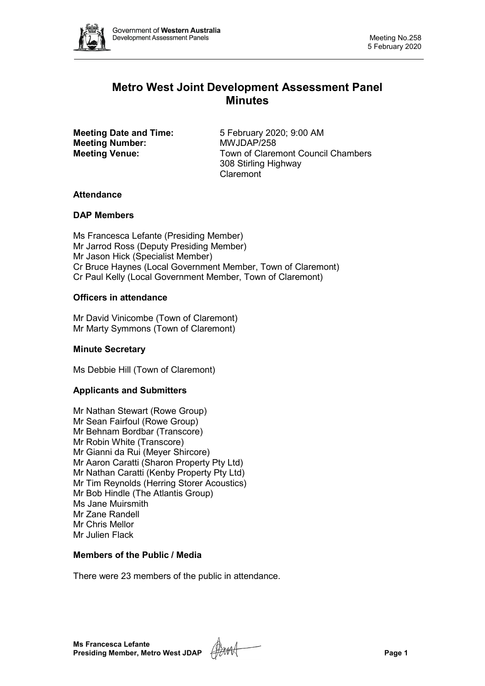

# **Metro West Joint Development Assessment Panel Minutes**

**Meeting Number:** 

**Meeting Date and Time:** 5 February 2020; 9:00 AM<br> **Meeting Number:** MWJDAP/258 **Meeting Venue:** Town of Claremont Council Chambers 308 Stirling Highway Claremont

## **Attendance**

## **DAP Members**

Ms Francesca Lefante (Presiding Member) Mr Jarrod Ross (Deputy Presiding Member) Mr Jason Hick (Specialist Member) Cr Bruce Haynes (Local Government Member, Town of Claremont) Cr Paul Kelly (Local Government Member, Town of Claremont)

## **Officers in attendance**

Mr David Vinicombe (Town of Claremont) Mr Marty Symmons (Town of Claremont)

## **Minute Secretary**

Ms Debbie Hill (Town of Claremont)

## **Applicants and Submitters**

Mr Nathan Stewart (Rowe Group) Mr Sean Fairfoul (Rowe Group) Mr Behnam Bordbar (Transcore) Mr Robin White (Transcore) Mr Gianni da Rui (Meyer Shircore) Mr Aaron Caratti (Sharon Property Pty Ltd) Mr Nathan Caratti (Kenby Property Pty Ltd) Mr Tim Reynolds (Herring Storer Acoustics) Mr Bob Hindle (The Atlantis Group) Ms Jane Muirsmith Mr Zane Randell Mr Chris Mellor Mr Julien Flack

## **Members of the Public / Media**

There were 23 members of the public in attendance.

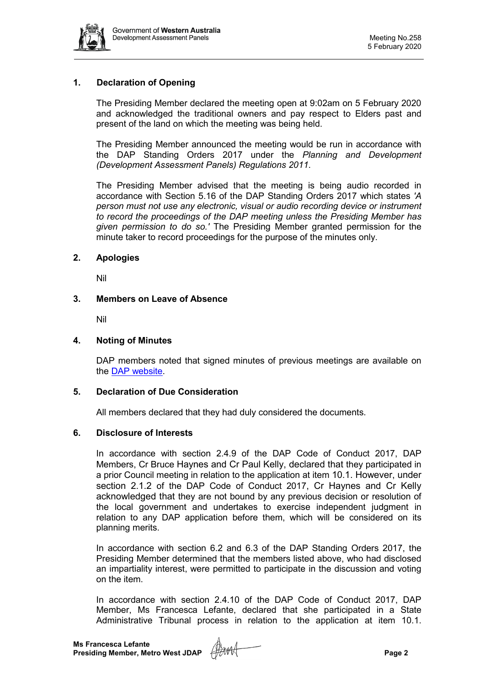

## **1. Declaration of Opening**

The Presiding Member declared the meeting open at 9:02am on 5 February 2020 and acknowledged the traditional owners and pay respect to Elders past and present of the land on which the meeting was being held.

The Presiding Member announced the meeting would be run in accordance with the DAP Standing Orders 2017 under the *Planning and Development (Development Assessment Panels) Regulations 2011*.

The Presiding Member advised that the meeting is being audio recorded in accordance with Section 5.16 of the DAP Standing Orders 2017 which states *'A person must not use any electronic, visual or audio recording device or instrument to record the proceedings of the DAP meeting unless the Presiding Member has given permission to do so.'* The Presiding Member granted permission for the minute taker to record proceedings for the purpose of the minutes only.

#### **2. Apologies**

Nil

#### **3. Members on Leave of Absence**

Nil

#### **4. Noting of Minutes**

DAP members noted that signed minutes of previous meetings are available on the [DAP website.](https://www.dplh.wa.gov.au/about/development-assessment-panels/daps-agendas-and-minutes)

#### **5. Declaration of Due Consideration**

All members declared that they had duly considered the documents.

#### **6. Disclosure of Interests**

In accordance with section 2.4.9 of the DAP Code of Conduct 2017, DAP Members, Cr Bruce Haynes and Cr Paul Kelly, declared that they participated in a prior Council meeting in relation to the application at item 10.1. However, under section 2.1.2 of the DAP Code of Conduct 2017, Cr Haynes and Cr Kelly acknowledged that they are not bound by any previous decision or resolution of the local government and undertakes to exercise independent judgment in relation to any DAP application before them, which will be considered on its planning merits.

In accordance with section 6.2 and 6.3 of the DAP Standing Orders 2017, the Presiding Member determined that the members listed above, who had disclosed an impartiality interest, were permitted to participate in the discussion and voting on the item.

In accordance with section 2.4.10 of the DAP Code of Conduct 2017, DAP Member, Ms Francesca Lefante, declared that she participated in a State Administrative Tribunal process in relation to the application at item 10.1.

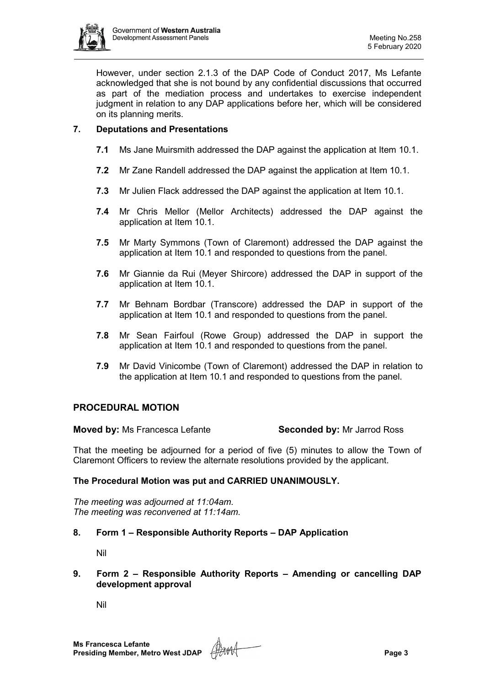

However, under section 2.1.3 of the DAP Code of Conduct 2017, Ms Lefante acknowledged that she is not bound by any confidential discussions that occurred as part of the mediation process and undertakes to exercise independent judgment in relation to any DAP applications before her, which will be considered on its planning merits.

## **7. Deputations and Presentations**

- **7.1** Ms Jane Muirsmith addressed the DAP against the application at Item 10.1.
- **7.2** Mr Zane Randell addressed the DAP against the application at Item 10.1.
- **7.3** Mr Julien Flack addressed the DAP against the application at Item 10.1.
- **7.4** Mr Chris Mellor (Mellor Architects) addressed the DAP against the application at Item 10.1.
- **7.5** Mr Marty Symmons (Town of Claremont) addressed the DAP against the application at Item 10.1 and responded to questions from the panel.
- **7.6** Mr Giannie da Rui (Meyer Shircore) addressed the DAP in support of the application at Item 10.1.
- **7.7** Mr Behnam Bordbar (Transcore) addressed the DAP in support of the application at Item 10.1 and responded to questions from the panel.
- **7.8** Mr Sean Fairfoul (Rowe Group) addressed the DAP in support the application at Item 10.1 and responded to questions from the panel.
- **7.9** Mr David Vinicombe (Town of Claremont) addressed the DAP in relation to the application at Item 10.1 and responded to questions from the panel.

## **PROCEDURAL MOTION**

**Moved by:** Ms Francesca Lefante **Seconded by:** Mr Jarrod Ross

That the meeting be adjourned for a period of five (5) minutes to allow the Town of Claremont Officers to review the alternate resolutions provided by the applicant.

## **The Procedural Motion was put and CARRIED UNANIMOUSLY.**

*The meeting was adjourned at 11:04am. The meeting was reconvened at 11:14am.*

## **8. Form 1 – Responsible Authority Reports – DAP Application**

Nil

**9. Form 2 – Responsible Authority Reports – Amending or cancelling DAP development approval**

Nil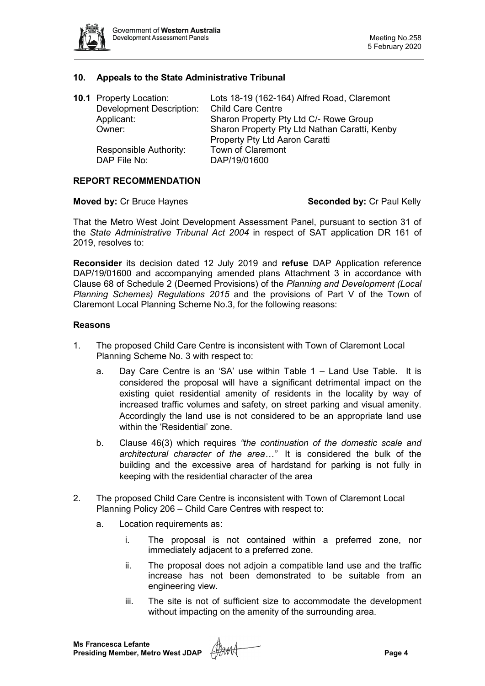

#### **10. Appeals to the State Administrative Tribunal**

| <b>10.1 Property Location:</b><br><b>Development Description:</b><br>Applicant:<br>Owner: | Lots 18-19 (162-164) Alfred Road, Claremont<br><b>Child Care Centre</b><br>Sharon Property Pty Ltd C/- Rowe Group<br>Sharon Property Pty Ltd Nathan Caratti, Kenby<br>Property Pty Ltd Aaron Caratti |
|-------------------------------------------------------------------------------------------|------------------------------------------------------------------------------------------------------------------------------------------------------------------------------------------------------|
| Responsible Authority:<br>DAP File No:                                                    | Town of Claremont<br>DAP/19/01600                                                                                                                                                                    |

#### **REPORT RECOMMENDATION**

#### **Moved by:** Cr Bruce Haynes **Seconded by:** Cr Paul Kelly

That the Metro West Joint Development Assessment Panel, pursuant to section 31 of the *State Administrative Tribunal Act 2004* in respect of SAT application DR 161 of 2019, resolves to:

**Reconsider** its decision dated 12 July 2019 and **refuse** DAP Application reference DAP/19/01600 and accompanying amended plans Attachment 3 in accordance with Clause 68 of Schedule 2 (Deemed Provisions) of the *Planning and Development (Local Planning Schemes) Regulations 2015* and the provisions of Part V of the Town of Claremont Local Planning Scheme No.3, for the following reasons:

#### **Reasons**

- 1. The proposed Child Care Centre is inconsistent with Town of Claremont Local Planning Scheme No. 3 with respect to:
	- a. Day Care Centre is an 'SA' use within Table 1 Land Use Table. It is considered the proposal will have a significant detrimental impact on the existing quiet residential amenity of residents in the locality by way of increased traffic volumes and safety, on street parking and visual amenity. Accordingly the land use is not considered to be an appropriate land use within the 'Residential' zone.
	- b. Clause 46(3) which requires *"the continuation of the domestic scale and architectural character of the area…"* It is considered the bulk of the building and the excessive area of hardstand for parking is not fully in keeping with the residential character of the area
- 2. The proposed Child Care Centre is inconsistent with Town of Claremont Local Planning Policy 206 – Child Care Centres with respect to:
	- a. Location requirements as:
		- i. The proposal is not contained within a preferred zone, nor immediately adjacent to a preferred zone.
		- ii. The proposal does not adjoin a compatible land use and the traffic increase has not been demonstrated to be suitable from an engineering view.
		- iii. The site is not of sufficient size to accommodate the development without impacting on the amenity of the surrounding area.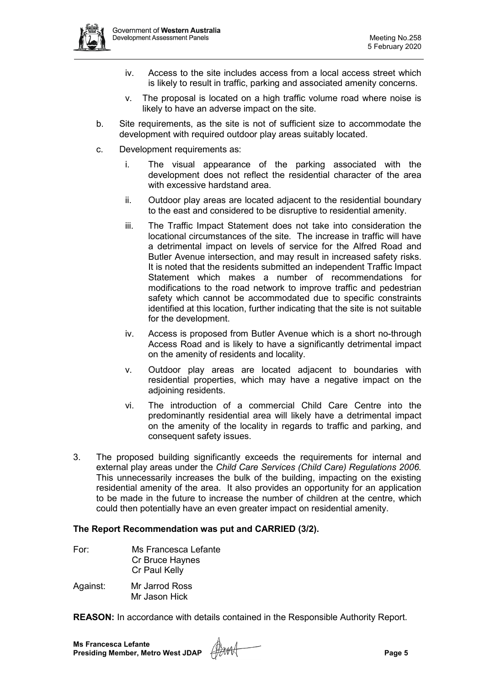

- iv. Access to the site includes access from a local access street which is likely to result in traffic, parking and associated amenity concerns.
- v. The proposal is located on a high traffic volume road where noise is likely to have an adverse impact on the site.
- b. Site requirements, as the site is not of sufficient size to accommodate the development with required outdoor play areas suitably located.
- c. Development requirements as:
	- i. The visual appearance of the parking associated with the development does not reflect the residential character of the area with excessive hardstand area.
	- ii. Outdoor play areas are located adjacent to the residential boundary to the east and considered to be disruptive to residential amenity.
	- iii. The Traffic Impact Statement does not take into consideration the locational circumstances of the site. The increase in traffic will have a detrimental impact on levels of service for the Alfred Road and Butler Avenue intersection, and may result in increased safety risks. It is noted that the residents submitted an independent Traffic Impact Statement which makes a number of recommendations for modifications to the road network to improve traffic and pedestrian safety which cannot be accommodated due to specific constraints identified at this location, further indicating that the site is not suitable for the development.
	- iv. Access is proposed from Butler Avenue which is a short no-through Access Road and is likely to have a significantly detrimental impact on the amenity of residents and locality.
	- v. Outdoor play areas are located adjacent to boundaries with residential properties, which may have a negative impact on the adioining residents.
	- vi. The introduction of a commercial Child Care Centre into the predominantly residential area will likely have a detrimental impact on the amenity of the locality in regards to traffic and parking, and consequent safety issues.
- 3. The proposed building significantly exceeds the requirements for internal and external play areas under the *Child Care Services (Child Care) Regulations 2006.*  This unnecessarily increases the bulk of the building, impacting on the existing residential amenity of the area. It also provides an opportunity for an application to be made in the future to increase the number of children at the centre, which could then potentially have an even greater impact on residential amenity.

## **The Report Recommendation was put and CARRIED (3/2).**

| Ms Francesca Lefante |
|----------------------|
| Cr Bruce Haynes      |
| Cr Paul Kelly        |
|                      |

Against: Mr Jarrod Ross Mr Jason Hick

**REASON:** In accordance with details contained in the Responsible Authority Report.